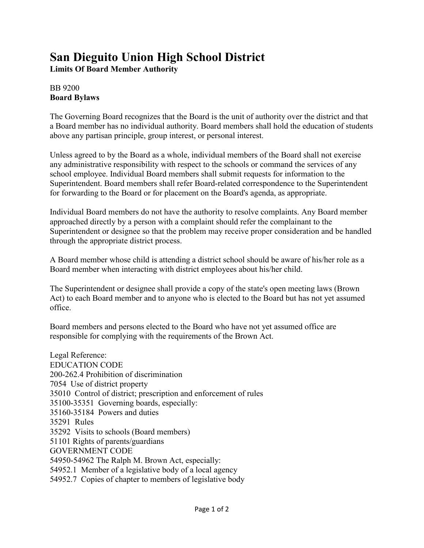## **San Dieguito Union High School District**

**Limits Of Board Member Authority**

## BB 9200 **Board Bylaws**

The Governing Board recognizes that the Board is the unit of authority over the district and that a Board member has no individual authority. Board members shall hold the education of students above any partisan principle, group interest, or personal interest.

Unless agreed to by the Board as a whole, individual members of the Board shall not exercise any administrative responsibility with respect to the schools or command the services of any school employee. Individual Board members shall submit requests for information to the Superintendent. Board members shall refer Board-related correspondence to the Superintendent for forwarding to the Board or for placement on the Board's agenda, as appropriate.

Individual Board members do not have the authority to resolve complaints. Any Board member approached directly by a person with a complaint should refer the complainant to the Superintendent or designee so that the problem may receive proper consideration and be handled through the appropriate district process.

A Board member whose child is attending a district school should be aware of his/her role as a Board member when interacting with district employees about his/her child.

The Superintendent or designee shall provide a copy of the state's open meeting laws (Brown Act) to each Board member and to anyone who is elected to the Board but has not yet assumed office.

Board members and persons elected to the Board who have not yet assumed office are responsible for complying with the requirements of the Brown Act.

Legal Reference: EDUCATION CODE 200-262.4 Prohibition of discrimination 7054 Use of district property 35010 Control of district; prescription and enforcement of rules 35100-35351 Governing boards, especially: 35160-35184 Powers and duties 35291 Rules 35292 Visits to schools (Board members) 51101 Rights of parents/guardians GOVERNMENT CODE 54950-54962 The Ralph M. Brown Act, especially: 54952.1 Member of a legislative body of a local agency 54952.7 Copies of chapter to members of legislative body